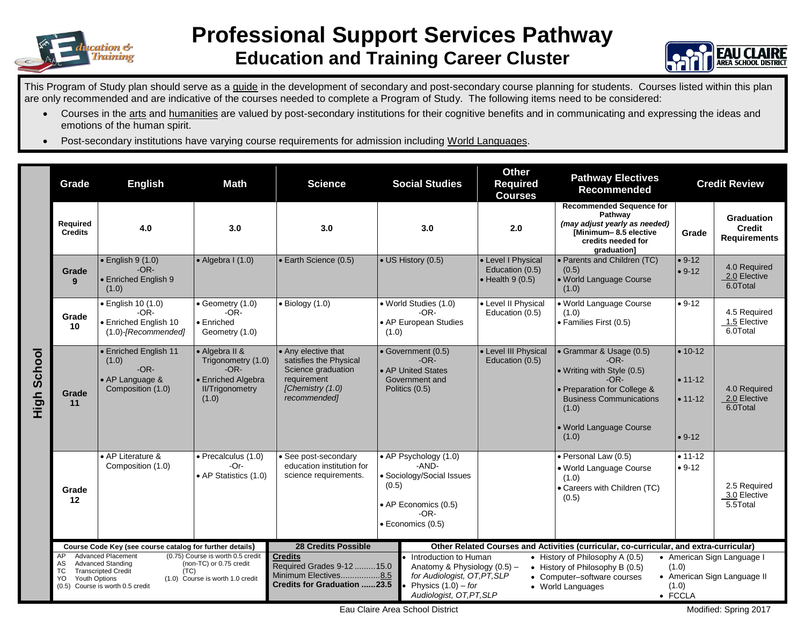

## **Professional Support Services Pathway Education and Training Career Cluster**



This Program of Study plan should serve as a quide in the development of secondary and post-secondary course planning for students. Courses listed within this plan are only recommended and are indicative of the courses needed to complete a Program of Study. The following items need to be considered:

- Courses in the arts and humanities are valued by post-secondary institutions for their cognitive benefits and in communicating and expressing the ideas and emotions of the human spirit.
- Post-secondary institutions have varying course requirements for admission including World Languages.

|                | Grade                                                    | <b>English</b>                                                                                                                                                                                                                                       | <b>Math</b>                                                                                             | <b>Science</b>                                                                                                                                                                                                                                                                                                                                                                                                                                | <b>Social Studies</b>                                                                                                     | <b>Other</b><br><b>Required</b><br><b>Courses</b>                                      | <b>Pathway Electives</b><br><b>Recommended</b>                                                                                                                                          |                                                       | <b>Credit Review</b>                        |
|----------------|----------------------------------------------------------|------------------------------------------------------------------------------------------------------------------------------------------------------------------------------------------------------------------------------------------------------|---------------------------------------------------------------------------------------------------------|-----------------------------------------------------------------------------------------------------------------------------------------------------------------------------------------------------------------------------------------------------------------------------------------------------------------------------------------------------------------------------------------------------------------------------------------------|---------------------------------------------------------------------------------------------------------------------------|----------------------------------------------------------------------------------------|-----------------------------------------------------------------------------------------------------------------------------------------------------------------------------------------|-------------------------------------------------------|---------------------------------------------|
|                | Required<br><b>Credits</b>                               | 4.0                                                                                                                                                                                                                                                  | 3.0                                                                                                     | 3.0                                                                                                                                                                                                                                                                                                                                                                                                                                           | 3.0                                                                                                                       | 2.0                                                                                    | <b>Recommended Sequence for</b><br>Pathway<br>(may adjust yearly as needed)<br>[Minimum-8.5 elective<br>credits needed for<br>graduation]                                               | Grade                                                 | Graduation<br>Credit<br><b>Requirements</b> |
|                | Grade<br>9                                               | $\bullet$ English 9 (1.0)<br>$-OR-$<br>• Enriched English 9<br>(1.0)                                                                                                                                                                                 | $\bullet$ Algebra I (1.0)                                                                               | • Earth Science (0.5)                                                                                                                                                                                                                                                                                                                                                                                                                         | • US History (0.5)                                                                                                        | • Level I Physical<br>Education (0.5)<br>$\bullet$ Health 9 (0.5)                      | • Parents and Children (TC)<br>(0.5)<br>• World Language Course<br>(1.0)                                                                                                                | $• 9-12$<br>$• 9-12$                                  | 4.0 Required<br>2.0 Elective<br>6.0Total    |
| School<br>High | Grade<br>10                                              | · English 10 (1.0)<br>-OR-<br>• Enriched English 10<br>$(1.0)$ -[Recommended]                                                                                                                                                                        | $\bullet$ Geometry (1.0)<br>$-OR-$<br>$\bullet$ Enriched<br>Geometry (1.0)                              | $\bullet$ Biology (1.0)                                                                                                                                                                                                                                                                                                                                                                                                                       | • World Studies (1.0)<br>$-OR-$<br>• AP European Studies<br>(1.0)                                                         | • Level II Physical<br>Education (0.5)                                                 | • World Language Course<br>(1.0)<br>· Families First (0.5)                                                                                                                              | $• 9-12$                                              | 4.5 Required<br>1.5 Elective<br>6.0Total    |
|                | Grade<br>11                                              | • Enriched English 11<br>(1.0)<br>$-OR-$<br>• AP Language &<br>Composition (1.0)                                                                                                                                                                     | • Algebra II &<br>Trigonometry (1.0)<br>$-OR-$<br>• Enriched Algebra<br><b>II/Trigonometry</b><br>(1.0) | • Any elective that<br>satisfies the Physical<br>Science graduation<br>requirement<br>[Chemistry (1.0)<br>recommended]                                                                                                                                                                                                                                                                                                                        | • Government (0.5)<br>$-OR-$<br>• AP United States<br>Government and<br>Politics (0.5)                                    | • Level III Physical<br>Education (0.5)                                                | • Grammar & Usage (0.5)<br>$-OR-$<br>• Writing with Style (0.5)<br>$-OR-$<br>• Preparation for College &<br><b>Business Communications</b><br>(1.0)<br>• World Language Course<br>(1.0) | $• 10 - 12$<br>$• 11 - 12$<br>$• 11 - 12$<br>$• 9-12$ | 4.0 Required<br>2.0 Elective<br>6.0Total    |
|                | Grade<br>12                                              | • AP Literature &<br>Composition (1.0)                                                                                                                                                                                                               | · Precalculus (1.0)<br>-Or-<br>• AP Statistics (1.0)                                                    | See post-secondary<br>education institution for<br>science requirements.                                                                                                                                                                                                                                                                                                                                                                      | • AP Psychology (1.0)<br>-AND-<br>• Sociology/Social Issues<br>(0.5)<br>• AP Economics (0.5)<br>-OR-<br>• Economics (0.5) |                                                                                        | · Personal Law (0.5)<br>. World Language Course<br>(1.0)<br>• Careers with Children (TC)<br>(0.5)                                                                                       | $• 11 - 12$<br>$• 9-12$                               | 2.5 Required<br>3.0 Elective<br>5.5Total    |
|                | Course Code Key (see course catalog for further details) |                                                                                                                                                                                                                                                      |                                                                                                         | <b>28 Credits Possible</b>                                                                                                                                                                                                                                                                                                                                                                                                                    |                                                                                                                           | Other Related Courses and Activities (curricular, co-curricular, and extra-curricular) |                                                                                                                                                                                         |                                                       |                                             |
|                | AP<br>AS<br>TC.<br>YO                                    | <b>Advanced Placement</b><br>(0.75) Course is worth 0.5 credit<br><b>Advanced Standing</b><br>(non-TC) or 0.75 credit<br><b>Transcripted Credit</b><br>(TC)<br>Youth Options<br>(1.0) Course is worth 1.0 credit<br>(0.5) Course is worth 0.5 credit |                                                                                                         | <b>Credits</b><br>Introduction to Human<br>• History of Philosophy A (0.5)<br>Required Grades 9-12 15.0<br>Anatomy & Physiology (0.5) -<br>(1.0)<br>• History of Philosophy B (0.5)<br>Minimum Electives8.5<br>for Audiologist, OT, PT, SLP<br>• American Sign Language II<br>• Computer-software courses<br><b>Credits for Graduation 23.5</b><br>Physics $(1.0)$ – for<br>(1.0)<br>• World Languages<br>Audiologist, OT, PT, SLP<br>• FCCLA |                                                                                                                           |                                                                                        | • American Sign Language I                                                                                                                                                              |                                                       |                                             |